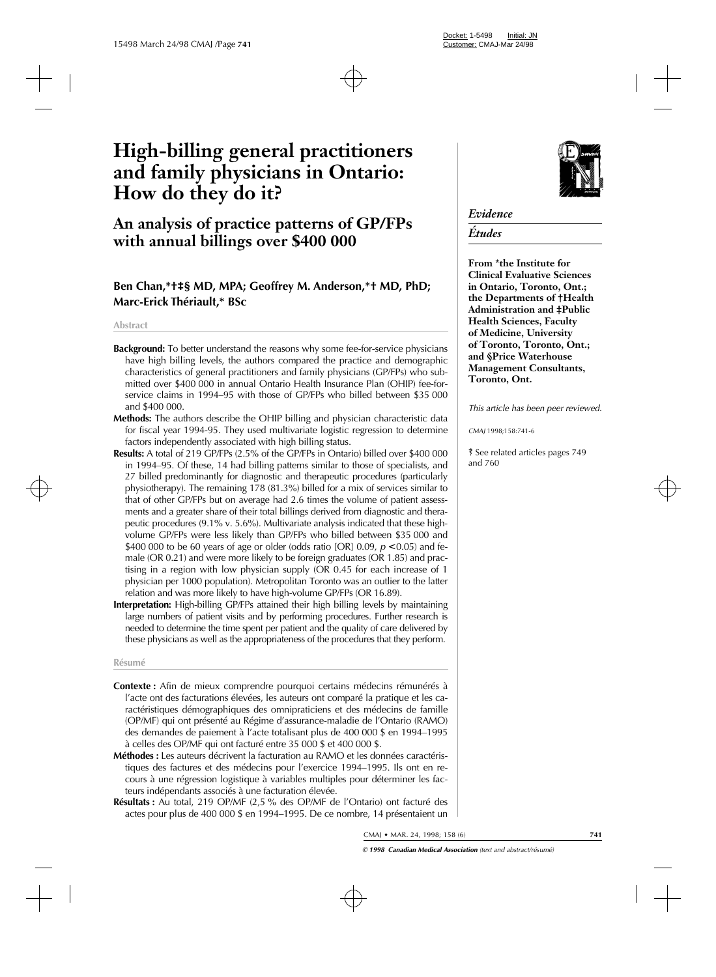# **High-billing general practitioners and family physicians in Ontario: How do they do it?**

# **An analysis of practice patterns of GP/FPs with annual billings over \$400 000**

# **Ben Chan,\*†‡§ MD, MPA; Geoffrey M. Anderson,\*† MD, PhD; Marc-Erick Thériault,\* BSc**

#### **Abstract**

- **Background:** To better understand the reasons why some fee-for-service physicians have high billing levels, the authors compared the practice and demographic characteristics of general practitioners and family physicians (GP/FPs) who submitted over \$400 000 in annual Ontario Health Insurance Plan (OHIP) fee-forservice claims in 1994–95 with those of GP/FPs who billed between \$35 000 and \$400 000.
- **Methods:** The authors describe the OHIP billing and physician characteristic data for fiscal year 1994-95. They used multivariate logistic regression to determine factors independently associated with high billing status.
- **Results:** A total of 219 GP/FPs (2.5% of the GP/FPs in Ontario) billed over \$400 000 in 1994–95. Of these, 14 had billing patterns similar to those of specialists, and 27 billed predominantly for diagnostic and therapeutic procedures (particularly physiotherapy). The remaining 178 (81.3%) billed for a mix of services similar to that of other GP/FPs but on average had 2.6 times the volume of patient assessments and a greater share of their total billings derived from diagnostic and therapeutic procedures (9.1% v. 5.6%). Multivariate analysis indicated that these highvolume GP/FPs were less likely than GP/FPs who billed between \$35 000 and \$400 000 to be 60 years of age or older (odds ratio [OR] 0.09, *p* < 0.05) and female (OR 0.21) and were more likely to be foreign graduates (OR 1.85) and practising in a region with low physician supply (OR 0.45 for each increase of 1 physician per 1000 population). Metropolitan Toronto was an outlier to the latter relation and was more likely to have high-volume GP/FPs (OR 16.89).
- **Interpretation:** High-billing GP/FPs attained their high billing levels by maintaining large numbers of patient visits and by performing procedures. Further research is needed to determine the time spent per patient and the quality of care delivered by these physicians as well as the appropriateness of the procedures that they perform.

#### **Résumé**

- **Contexte :** Afin de mieux comprendre pourquoi certains médecins rémunérés à l'acte ont des facturations élevées, les auteurs ont comparé la pratique et les caractéristiques démographiques des omnipraticiens et des médecins de famille (OP/MF) qui ont présenté au Régime d'assurance-maladie de l'Ontario (RAMO) des demandes de paiement à l'acte totalisant plus de 400 000 \$ en 1994–1995 à celles des OP/MF qui ont facturé entre 35 000 \$ et 400 000 \$.
- **Méthodes :** Les auteurs décrivent la facturation au RAMO et les données caractéristiques des factures et des médecins pour l'exercice 1994–1995. Ils ont en recours à une régression logistique à variables multiples pour déterminer les facteurs indépendants associés à une facturation élevée.
- **Résultats :** Au total, 219 OP/MF (2,5 % des OP/MF de l'Ontario) ont facturé des actes pour plus de 400 000 \$ en 1994–1995. De ce nombre, 14 présentaient un



# *Evidence*

# *Études*

**From \*the Institute for Clinical Evaluative Sciences in Ontario, Toronto, Ont.; the Departments of †Health Administration and ‡Public Health Sciences, Faculty of Medicine, University of Toronto, Toronto, Ont.; and §Price Waterhouse Management Consultants, Toronto, Ont.**

*This article has been peer reviewed.*

*CMAJ* 1998;158:741-6

ß See related articles pages 749 and 760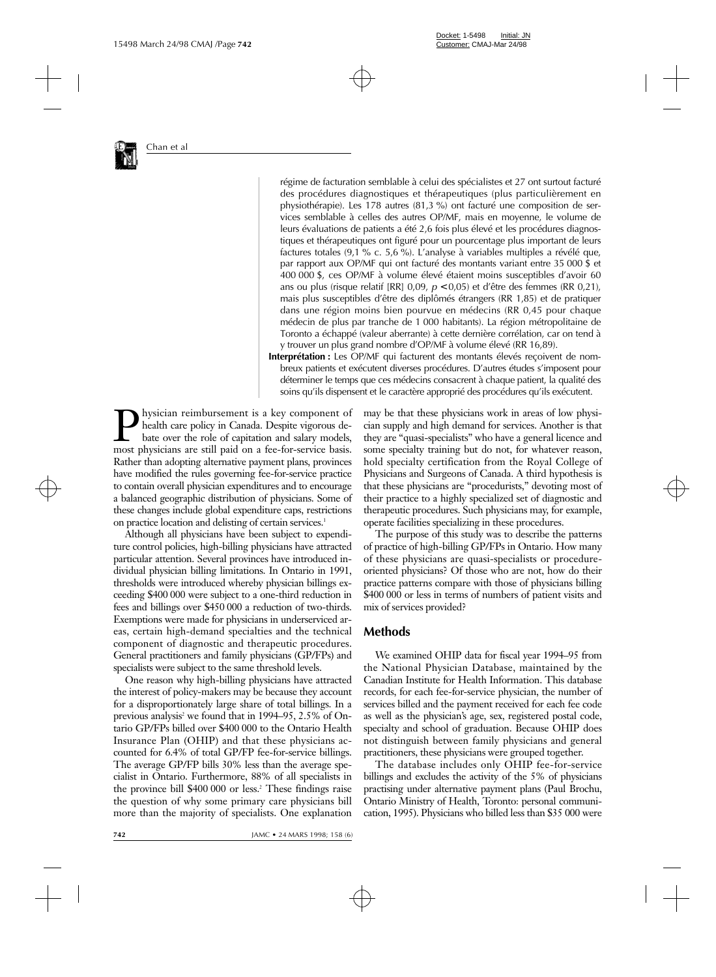

régime de facturation semblable à celui des spécialistes et 27 ont surtout facturé des procédures diagnostiques et thérapeutiques (plus particulièrement en physiothérapie). Les 178 autres (81,3 %) ont facturé une composition de services semblable à celles des autres OP/MF, mais en moyenne, le volume de leurs évaluations de patients a été 2,6 fois plus élevé et les procédures diagnostiques et thérapeutiques ont figuré pour un pourcentage plus important de leurs factures totales (9,1 % c. 5,6 %). L'analyse à variables multiples a révélé que, par rapport aux OP/MF qui ont facturé des montants variant entre 35 000 \$ et 400 000 \$, ces OP/MF à volume élevé étaient moins susceptibles d'avoir 60 ans ou plus (risque relatif [RR] 0,09, *p* < 0,05) et d'être des femmes (RR 0,21), mais plus susceptibles d'être des diplômés étrangers (RR 1,85) et de pratiquer dans une région moins bien pourvue en médecins (RR 0,45 pour chaque médecin de plus par tranche de 1 000 habitants). La région métropolitaine de Toronto a échappé (valeur aberrante) à cette dernière corrélation, car on tend à y trouver un plus grand nombre d'OP/MF à volume élevé (RR 16,89).

**Interprétation :** Les OP/MF qui facturent des montants élevés reçoivent de nombreux patients et exécutent diverses procédures. D'autres études s'imposent pour déterminer le temps que ces médecins consacrent à chaque patient, la qualité des soins qu'ils dispensent et le caractère approprié des procédures qu'ils exécutent.

hysician reimbursement is a key component of health care policy in Canada. Despite vigorous debate over the role of capitation and salary models, most physicians are still paid on a fee-for-service basis. Rather than adopting alternative payment plans, provinces have modified the rules governing fee-for-service practice to contain overall physician expenditures and to encourage a balanced geographic distribution of physicians. Some of these changes include global expenditure caps, restrictions on practice location and delisting of certain services.<sup>1</sup>

Although all physicians have been subject to expenditure control policies, high-billing physicians have attracted particular attention. Several provinces have introduced individual physician billing limitations. In Ontario in 1991, thresholds were introduced whereby physician billings exceeding \$400 000 were subject to a one-third reduction in fees and billings over \$450 000 a reduction of two-thirds. Exemptions were made for physicians in underserviced areas, certain high-demand specialties and the technical component of diagnostic and therapeutic procedures. General practitioners and family physicians (GP/FPs) and specialists were subject to the same threshold levels.

One reason why high-billing physicians have attracted the interest of policy-makers may be because they account for a disproportionately large share of total billings. In a previous analysis<sup>2</sup> we found that in 1994–95, 2.5% of Ontario GP/FPs billed over \$400 000 to the Ontario Health Insurance Plan (OHIP) and that these physicians accounted for 6.4% of total GP/FP fee-for-service billings. The average GP/FP bills 30% less than the average specialist in Ontario. Furthermore, 88% of all specialists in the province bill \$400 000 or less.<sup>2</sup> These findings raise the question of why some primary care physicians bill more than the majority of specialists. One explanation

may be that these physicians work in areas of low physician supply and high demand for services. Another is that they are "quasi-specialists" who have a general licence and some specialty training but do not, for whatever reason, hold specialty certification from the Royal College of Physicians and Surgeons of Canada. A third hypothesis is that these physicians are "procedurists," devoting most of their practice to a highly specialized set of diagnostic and therapeutic procedures. Such physicians may, for example, operate facilities specializing in these procedures.

The purpose of this study was to describe the patterns of practice of high-billing GP/FPs in Ontario. How many of these physicians are quasi-specialists or procedureoriented physicians? Of those who are not, how do their practice patterns compare with those of physicians billing \$400 000 or less in terms of numbers of patient visits and mix of services provided?

#### **Methods**

We examined OHIP data for fiscal year 1994–95 from the National Physician Database, maintained by the Canadian Institute for Health Information. This database records, for each fee-for-service physician, the number of services billed and the payment received for each fee code as well as the physician's age, sex, registered postal code, specialty and school of graduation. Because OHIP does not distinguish between family physicians and general practitioners, these physicians were grouped together.

The database includes only OHIP fee-for-service billings and excludes the activity of the 5% of physicians practising under alternative payment plans (Paul Brochu, Ontario Ministry of Health, Toronto: personal communication, 1995). Physicians who billed less than \$35 000 were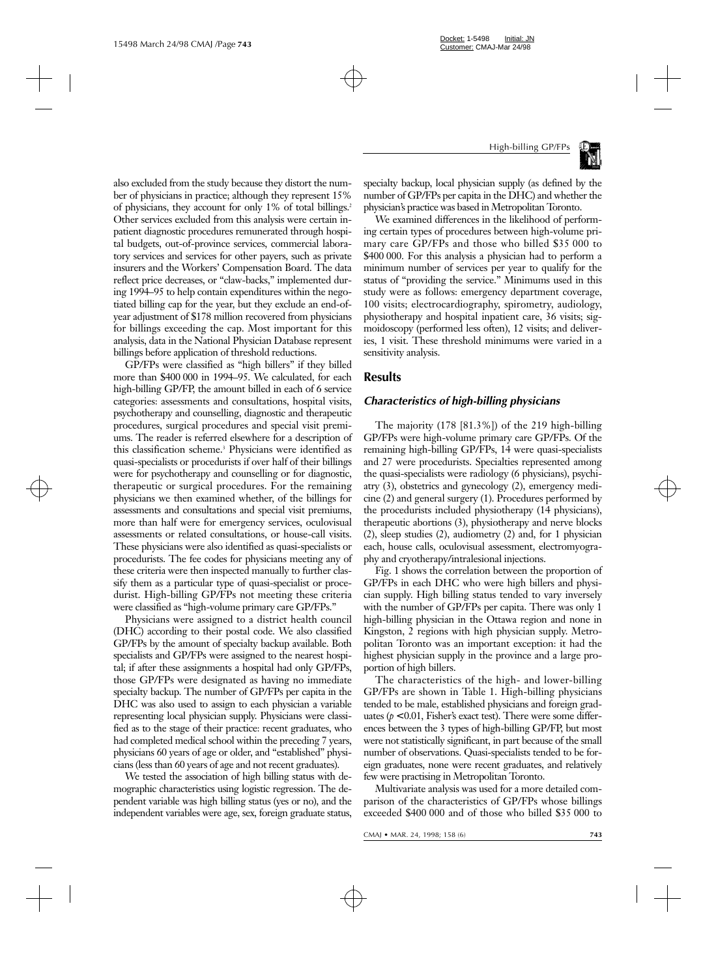

also excluded from the study because they distort the number of physicians in practice; although they represent 15% of physicians, they account for only 1% of total billings.2 Other services excluded from this analysis were certain inpatient diagnostic procedures remunerated through hospital budgets, out-of-province services, commercial laboratory services and services for other payers, such as private insurers and the Workers' Compensation Board. The data reflect price decreases, or "claw-backs," implemented during 1994–95 to help contain expenditures within the negotiated billing cap for the year, but they exclude an end-ofyear adjustment of \$178 million recovered from physicians for billings exceeding the cap. Most important for this analysis, data in the National Physician Database represent billings before application of threshold reductions.

GP/FPs were classified as "high billers" if they billed more than \$400 000 in 1994–95. We calculated, for each high-billing GP/FP, the amount billed in each of 6 service categories: assessments and consultations, hospital visits, psychotherapy and counselling, diagnostic and therapeutic procedures, surgical procedures and special visit premiums. The reader is referred elsewhere for a description of this classification scheme.<sup>3</sup> Physicians were identified as quasi-specialists or procedurists if over half of their billings were for psychotherapy and counselling or for diagnostic, therapeutic or surgical procedures. For the remaining physicians we then examined whether, of the billings for assessments and consultations and special visit premiums, more than half were for emergency services, oculovisual assessments or related consultations, or house-call visits. These physicians were also identified as quasi-specialists or procedurists. The fee codes for physicians meeting any of these criteria were then inspected manually to further classify them as a particular type of quasi-specialist or procedurist. High-billing GP/FPs not meeting these criteria were classified as "high-volume primary care GP/FPs."

Physicians were assigned to a district health council (DHC) according to their postal code. We also classified GP/FPs by the amount of specialty backup available. Both specialists and GP/FPs were assigned to the nearest hospital; if after these assignments a hospital had only GP/FPs, those GP/FPs were designated as having no immediate specialty backup. The number of GP/FPs per capita in the DHC was also used to assign to each physician a variable representing local physician supply. Physicians were classified as to the stage of their practice: recent graduates, who had completed medical school within the preceding 7 years, physicians 60 years of age or older, and "established" physicians (less than 60 years of age and not recent graduates).

We tested the association of high billing status with demographic characteristics using logistic regression. The dependent variable was high billing status (yes or no), and the independent variables were age, sex, foreign graduate status,

specialty backup, local physician supply (as defined by the number of GP/FPs per capita in the DHC) and whether the physician's practice was based in Metropolitan Toronto.

We examined differences in the likelihood of performing certain types of procedures between high-volume primary care GP/FPs and those who billed \$35 000 to \$400 000. For this analysis a physician had to perform a minimum number of services per year to qualify for the status of "providing the service." Minimums used in this study were as follows: emergency department coverage, 100 visits; electrocardiography, spirometry, audiology, physiotherapy and hospital inpatient care, 36 visits; sigmoidoscopy (performed less often), 12 visits; and deliveries, 1 visit. These threshold minimums were varied in a sensitivity analysis.

## **Results**

#### *Characteristics of high-billing physicians*

The majority (178 [81.3%]) of the 219 high-billing GP/FPs were high-volume primary care GP/FPs. Of the remaining high-billing GP/FPs, 14 were quasi-specialists and 27 were procedurists. Specialties represented among the quasi-specialists were radiology (6 physicians), psychiatry (3), obstetrics and gynecology (2), emergency medicine (2) and general surgery (1). Procedures performed by the procedurists included physiotherapy (14 physicians), therapeutic abortions (3), physiotherapy and nerve blocks (2), sleep studies (2), audiometry (2) and, for 1 physician each, house calls, oculovisual assessment, electromyography and cryotherapy/intralesional injections.

Fig. 1 shows the correlation between the proportion of GP/FPs in each DHC who were high billers and physician supply. High billing status tended to vary inversely with the number of GP/FPs per capita. There was only 1 high-billing physician in the Ottawa region and none in Kingston, 2 regions with high physician supply. Metropolitan Toronto was an important exception: it had the highest physician supply in the province and a large proportion of high billers.

The characteristics of the high- and lower-billing GP/FPs are shown in Table 1. High-billing physicians tended to be male, established physicians and foreign graduates  $(p < 0.01$ , Fisher's exact test). There were some differences between the 3 types of high-billing GP/FP, but most were not statistically significant, in part because of the small number of observations. Quasi-specialists tended to be foreign graduates, none were recent graduates, and relatively few were practising in Metropolitan Toronto.

Multivariate analysis was used for a more detailed comparison of the characteristics of GP/FPs whose billings exceeded \$400 000 and of those who billed \$35 000 to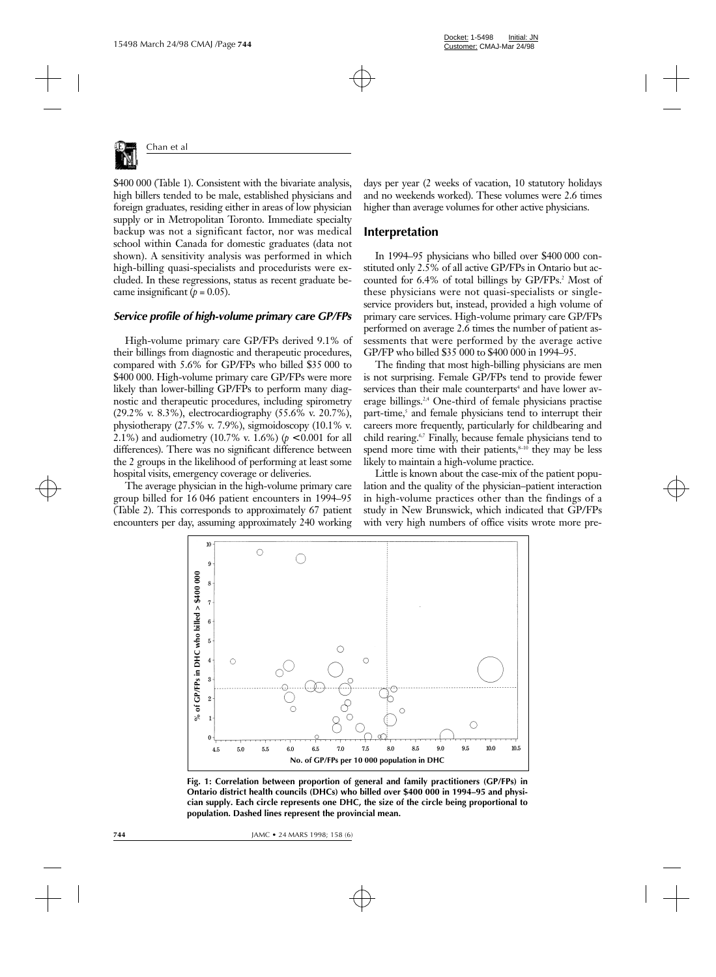

\$400 000 (Table 1). Consistent with the bivariate analysis, high billers tended to be male, established physicians and foreign graduates, residing either in areas of low physician supply or in Metropolitan Toronto. Immediate specialty backup was not a significant factor, nor was medical school within Canada for domestic graduates (data not shown). A sensitivity analysis was performed in which high-billing quasi-specialists and procedurists were excluded. In these regressions, status as recent graduate became insignificant  $(p = 0.05)$ .

#### *Service profile of high-volume primary care GP/FPs*

High-volume primary care GP/FPs derived 9.1% of their billings from diagnostic and therapeutic procedures, compared with 5.6% for GP/FPs who billed \$35 000 to \$400 000. High-volume primary care GP/FPs were more likely than lower-billing GP/FPs to perform many diagnostic and therapeutic procedures, including spirometry (29.2% v. 8.3%), electrocardiography (55.6% v. 20.7%), physiotherapy (27.5% v. 7.9%), sigmoidoscopy (10.1% v. 2.1%) and audiometry (10.7% v. 1.6%) (*p* < 0.001 for all differences). There was no significant difference between the 2 groups in the likelihood of performing at least some hospital visits, emergency coverage or deliveries.

The average physician in the high-volume primary care group billed for 16 046 patient encounters in 1994–95 (Table 2). This corresponds to approximately 67 patient encounters per day, assuming approximately 240 working

days per year (2 weeks of vacation, 10 statutory holidays and no weekends worked). These volumes were 2.6 times higher than average volumes for other active physicians.

#### **Interpretation**

In 1994–95 physicians who billed over \$400 000 constituted only 2.5% of all active GP/FPs in Ontario but accounted for 6.4% of total billings by GP/FPs.<sup>2</sup> Most of these physicians were not quasi-specialists or singleservice providers but, instead, provided a high volume of primary care services. High-volume primary care GP/FPs performed on average 2.6 times the number of patient assessments that were performed by the average active GP/FP who billed \$35 000 to \$400 000 in 1994–95.

The finding that most high-billing physicians are men is not surprising. Female GP/FPs tend to provide fewer services than their male counterparts<sup>4</sup> and have lower average billings.2,4 One-third of female physicians practise part-time,<sup>5</sup> and female physicians tend to interrupt their careers more frequently, particularly for childbearing and child rearing.6,7 Finally, because female physicians tend to spend more time with their patients, $s$ <sup>-10</sup> they may be less likely to maintain a high-volume practice.

Little is known about the case-mix of the patient population and the quality of the physician–patient interaction in high-volume practices other than the findings of a study in New Brunswick, which indicated that GP/FPs with very high numbers of office visits wrote more pre-



**Fig. 1: Correlation between proportion of general and family practitioners (GP/FPs) in Ontario district health councils (DHCs) who billed over \$400 000 in 1994–95 and physician supply. Each circle represents one DHC, the size of the circle being proportional to population. Dashed lines represent the provincial mean.**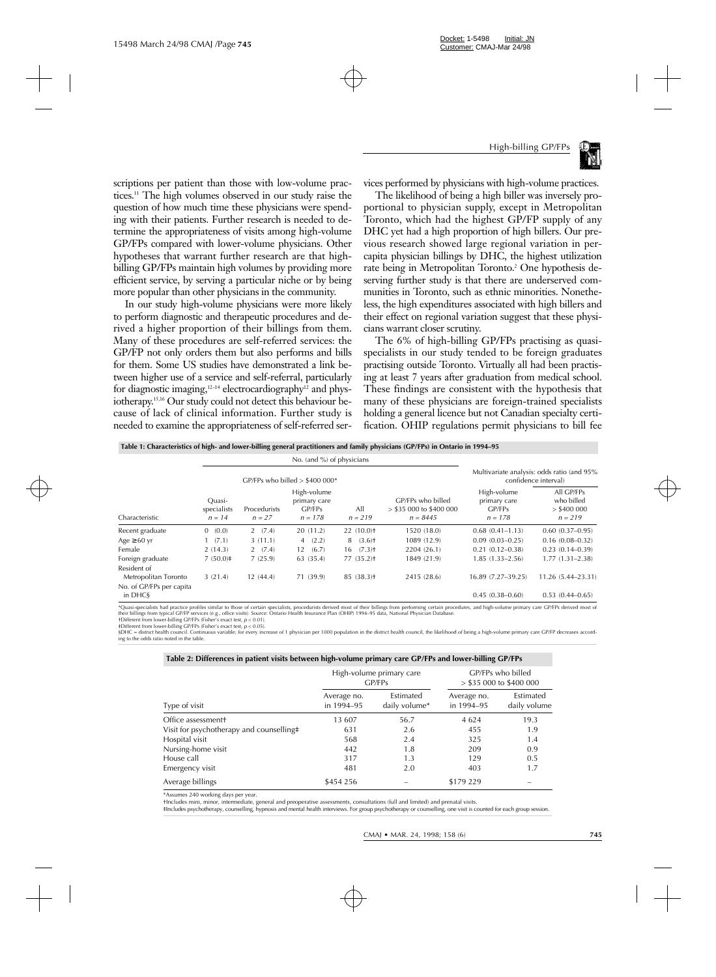

scriptions per patient than those with low-volume practices.11 The high volumes observed in our study raise the question of how much time these physicians were spending with their patients. Further research is needed to determine the appropriateness of visits among high-volume GP/FPs compared with lower-volume physicians. Other hypotheses that warrant further research are that highbilling GP/FPs maintain high volumes by providing more efficient service, by serving a particular niche or by being more popular than other physicians in the community.

In our study high-volume physicians were more likely to perform diagnostic and therapeutic procedures and derived a higher proportion of their billings from them. Many of these procedures are self-referred services: the GP/FP not only orders them but also performs and bills for them. Some US studies have demonstrated a link between higher use of a service and self-referral, particularly for diagnostic imaging, $12-14$  electrocardiography<sup>12</sup> and physiotherapy.<sup>15,16</sup> Our study could not detect this behaviour because of lack of clinical information. Further study is needed to examine the appropriateness of self-referred services performed by physicians with high-volume practices.

The likelihood of being a high biller was inversely proportional to physician supply, except in Metropolitan Toronto, which had the highest GP/FP supply of any DHC yet had a high proportion of high billers. Our previous research showed large regional variation in percapita physician billings by DHC, the highest utilization rate being in Metropolitan Toronto.<sup>2</sup> One hypothesis deserving further study is that there are underserved communities in Toronto, such as ethnic minorities. Nonetheless, the high expenditures associated with high billers and their effect on regional variation suggest that these physicians warrant closer scrutiny.

The 6% of high-billing GP/FPs practising as quasispecialists in our study tended to be foreign graduates practising outside Toronto. Virtually all had been practising at least 7 years after graduation from medical school. These findings are consistent with the hypothesis that many of these physicians are foreign-trained specialists holding a general licence but not Canadian specialty certification. OHIP regulations permit physicians to bill fee

**Table 1: Characteristics of high- and lower-billing general practitioners and family physicians (GP/FPs) in Ontario in 1994–95**

| Characteristic                      |                                   |                          |                                                    |                           |                                                              |                                                                    |                                                        |
|-------------------------------------|-----------------------------------|--------------------------|----------------------------------------------------|---------------------------|--------------------------------------------------------------|--------------------------------------------------------------------|--------------------------------------------------------|
|                                     | GP/FPs who billed $> $400 000*$   |                          |                                                    |                           |                                                              | Multivariate analysis: odds ratio (and 95%<br>confidence interval) |                                                        |
|                                     | Ouasi-<br>specialists<br>$n = 14$ | Procedurists<br>$n = 27$ | High-volume<br>primary care<br>GP/FPs<br>$n = 178$ | All<br>$n = 219$          | GP/FPs who billed<br>$>$ \$35 000 to \$400 000<br>$n = 8445$ | High-volume<br>primary care<br>GP/FPs<br>$n = 178$                 | All GP/FPs<br>who billed<br>$>$ \$400 000<br>$n = 219$ |
| Recent graduate                     | 0(0.0)                            | 2(7.4)                   | 20(11.2)                                           | 22(10.0)                  | 1520 (18.0)                                                  | $0.68(0.41 - 1.13)$                                                | $0.60(0.37-0.95)$                                      |
| Age $\geq 60$ yr                    | 1(7.1)                            | 3(11.1)                  | 4(2.2)                                             | 8(3.6)                    | 1089 (12.9)                                                  | $0.09(0.03 - 0.25)$                                                | $0.16(0.08 - 0.32)$                                    |
| Female                              | 2(14.3)                           | 2(7.4)                   | (6.7)<br>12                                        | $16$ $(7.3)$ <sup>+</sup> | 2204 (26.1)                                                  | $0.21(0.12 - 0.38)$                                                | $0.23(0.14 - 0.39)$                                    |
| Foreign graduate                    | 7(50.0)                           | 7(25.9)                  | 63 (35.4)                                          | 77(35.2)                  | 1849 (21.9)                                                  | $1.85(1.33 - 2.56)$                                                | $1.77(1.31 - 2.38)$                                    |
| Resident of                         |                                   |                          |                                                    |                           |                                                              |                                                                    |                                                        |
| Metropolitan Toronto                | 3(21.4)                           | 12(44.4)                 | 71 (39.9)                                          | 85(38.3)                  | 2415 (28.6)                                                  | 16.89 (7.27-39.25)                                                 | 11.26 (5.44-23.31)                                     |
| No. of GP/FPs per capita<br>in DHCS |                                   |                          |                                                    |                           |                                                              | $0.45(0.38 - 0.60)$                                                | $0.53(0.44 - 0.65)$                                    |

\*Quasi-specialists had practice profiles similar to those of certain specialists, procedurists derived most of their billings from performing certain procedures, and high-volume primary care GP/FPs derived most of their billings from typical GP/FP services (e.g., office visits). Source: Ontario Health Insurance Plan (OHIP) 1994–95 data, National Physician Database.<br>†Different from lower-billing GP/FPs (Fisher's exact test, *p* < 0.0

‡Different from lower-billing GP/FPs (Fisher's exact test, *p* < 0.05).

§DHC = district health council. Continuous variable; for every increase of 1 physician per 1000 population in the district health council, the likelihood of being a high-volume primary care GP/FP decreases according to the odds ratio noted in the table.

#### **Table 2: Differences in patient visits between high-volume primary care GP/FPs and lower-billing GP/FPs**

|                                          |                           | High-volume primary care<br>GP/FPs | GP/FPs who billed<br>$>$ \$35 000 to \$400 000 |                           |
|------------------------------------------|---------------------------|------------------------------------|------------------------------------------------|---------------------------|
| Type of visit                            | Average no.<br>in 1994-95 | Estimated<br>daily volume*         | Average no.<br>in 1994-95                      | Estimated<br>daily volume |
| Office assessment <sup>+</sup>           | 13 607                    | 56.7                               | 4 6 2 4                                        | 19.3                      |
| Visit for psychotherapy and counselling# | 631                       | 2.6                                | 455                                            | 1.9                       |
| Hospital visit                           | 568                       | 2.4                                | 325                                            | 1.4                       |
| Nursing-home visit                       | 442                       | 1.8                                | 209                                            | 0.9                       |
| House call                               | 317                       | 1.3                                | 129                                            | 0.5                       |
| Emergency visit                          | 481                       | 2.0                                | 403                                            | 1.7                       |
| Average billings                         | \$454 256                 |                                    | \$179 229                                      |                           |

\*Assumes 240 working days per year.

†Includes mini, minor, intermediate, general and preoperative assessments, consultations (full and limited) and prenatal visits.

‡Includes psychotherapy, counselling, hypnosis and mental health interviews. For group psychotherapy or counselling, one visit is counted for each group session.